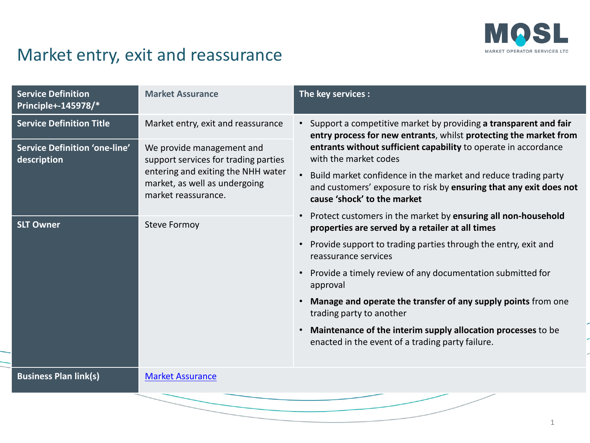

## Market entry, exit and reassurance

|  | <b>Service Definition</b><br>Principle+-145978/*    | <b>Market Assurance</b>                                                                                                                                         | The key services :                                                                                                                                                                                                                  |  |  |  |
|--|-----------------------------------------------------|-----------------------------------------------------------------------------------------------------------------------------------------------------------------|-------------------------------------------------------------------------------------------------------------------------------------------------------------------------------------------------------------------------------------|--|--|--|
|  | <b>Service Definition Title</b>                     | Market entry, exit and reassurance                                                                                                                              | • Support a competitive market by providing a transparent and fair<br>entry process for new entrants, whilst protecting the market from<br>entrants without sufficient capability to operate in accordance<br>with the market codes |  |  |  |
|  | <b>Service Definition 'one-line'</b><br>description | We provide management and<br>support services for trading parties<br>entering and exiting the NHH water<br>market, as well as undergoing<br>market reassurance. |                                                                                                                                                                                                                                     |  |  |  |
|  |                                                     |                                                                                                                                                                 | Build market confidence in the market and reduce trading party<br>and customers' exposure to risk by ensuring that any exit does not<br>cause 'shock' to the market                                                                 |  |  |  |
|  | <b>SLT Owner</b>                                    | <b>Steve Formoy</b>                                                                                                                                             | Protect customers in the market by ensuring all non-household<br>$\bullet$<br>properties are served by a retailer at all times                                                                                                      |  |  |  |
|  |                                                     |                                                                                                                                                                 | Provide support to trading parties through the entry, exit and<br>$\bullet$<br>reassurance services                                                                                                                                 |  |  |  |
|  |                                                     |                                                                                                                                                                 | Provide a timely review of any documentation submitted for<br>$\bullet$<br>approval                                                                                                                                                 |  |  |  |
|  |                                                     |                                                                                                                                                                 | Manage and operate the transfer of any supply points from one<br>trading party to another                                                                                                                                           |  |  |  |
|  |                                                     |                                                                                                                                                                 | Maintenance of the interim supply allocation processes to be<br>$\bullet$<br>enacted in the event of a trading party failure.                                                                                                       |  |  |  |
|  |                                                     |                                                                                                                                                                 |                                                                                                                                                                                                                                     |  |  |  |
|  | <b>Business Plan link(s)</b>                        | <b>Market Assurance</b>                                                                                                                                         |                                                                                                                                                                                                                                     |  |  |  |
|  |                                                     |                                                                                                                                                                 |                                                                                                                                                                                                                                     |  |  |  |
|  |                                                     |                                                                                                                                                                 |                                                                                                                                                                                                                                     |  |  |  |